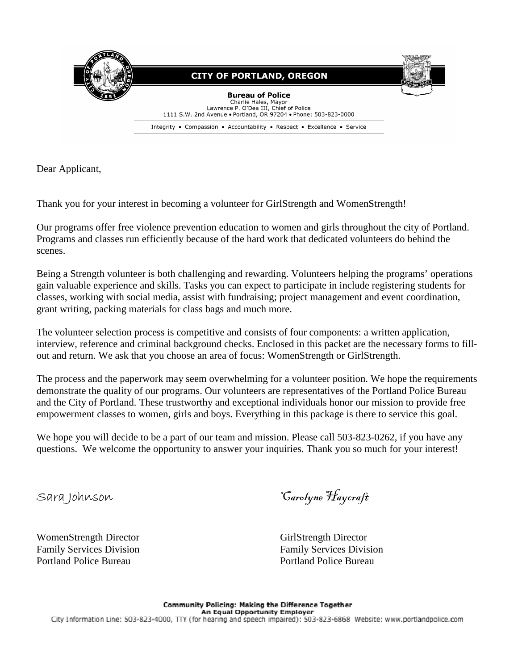

Dear Applicant,

Thank you for your interest in becoming a volunteer for GirlStrength and WomenStrength!

Our programs offer free violence prevention education to women and girls throughout the city of Portland. Programs and classes run efficiently because of the hard work that dedicated volunteers do behind the scenes.

Being a Strength volunteer is both challenging and rewarding. Volunteers helping the programs' operations gain valuable experience and skills. Tasks you can expect to participate in include registering students for classes, working with social media, assist with fundraising; project management and event coordination, grant writing, packing materials for class bags and much more.

The volunteer selection process is competitive and consists of four components: a written application, interview, reference and criminal background checks. Enclosed in this packet are the necessary forms to fillout and return. We ask that you choose an area of focus: WomenStrength or GirlStrength.

The process and the paperwork may seem overwhelming for a volunteer position. We hope the requirements demonstrate the quality of our programs. Our volunteers are representatives of the Portland Police Bureau and the City of Portland. These trustworthy and exceptional individuals honor our mission to provide free empowerment classes to women, girls and boys. Everything in this package is there to service this goal.

We hope you will decide to be a part of our team and mission. Please call 503-823-0262, if you have any questions. We welcome the opportunity to answer your inquiries. Thank you so much for your interest!

Sara Johnson Carolyne Haycraft

WomenStrength Director GirlStrength Director GirlStrength Director Family Services Division Family Services Division Portland Police Bureau 2008 - 2008 - 2009 Portland Police Bureau 2009 Portland Police Bureau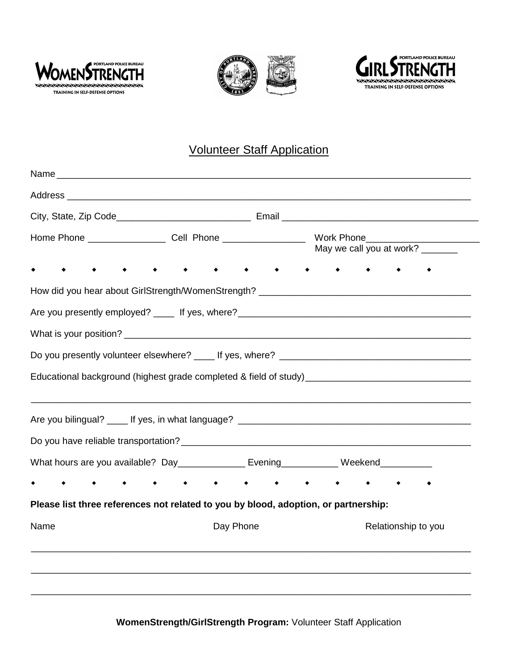





## Volunteer Staff Application

|      | Educational background (highest grade completed & field of study)___________________________________ |           |  |                     |  |  |
|------|------------------------------------------------------------------------------------------------------|-----------|--|---------------------|--|--|
|      |                                                                                                      |           |  |                     |  |  |
|      |                                                                                                      |           |  |                     |  |  |
|      | What hours are you available? Day______________ Evening____________ Weekend__________                |           |  |                     |  |  |
|      |                                                                                                      |           |  |                     |  |  |
| Name | Please list three references not related to you by blood, adoption, or partnership:                  | Day Phone |  | Relationship to you |  |  |

**WomenStrength/GirlStrength Program:** Volunteer Staff Application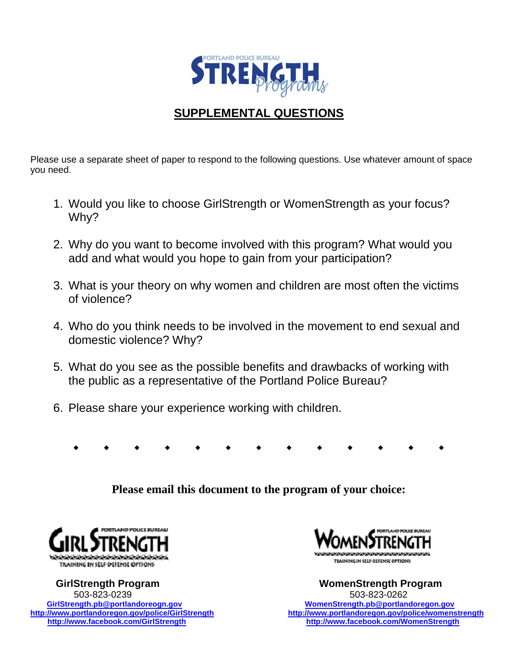

## **SUPPLEMENTAL QUESTIONS**

Please use a separate sheet of paper to respond to the following questions. Use whatever amount of space you need.

- 1. Would you like to choose GirlStrength or WomenStrength as your focus? Why?
- 2. Why do you want to become involved with this program? What would you add and what would you hope to gain from your participation?
- 3. What is your theory on why women and children are most often the victims of violence?
- 4. Who do you think needs to be involved in the movement to end sexual and domestic violence? Why?
- 5. What do you see as the possible benefits and drawbacks of working with the public as a representative of the Portland Police Bureau?
- 6. Please share your experience working with children.
	- . . . . . . . . . . . . .

**Please email this document to the program of your choice:** 



 **GirlStrength Program WomenStrength Program**  503-823-0239 503-823-0262  **GirlStrength.pb@portlandoreogn.gov WomenStrength.pb@portlandoregon.gov http://www.facebook.com/GirlStrength http://www.facebook.com/WomenStrength**



http://www.portlandoregon.gov/police/womenstrength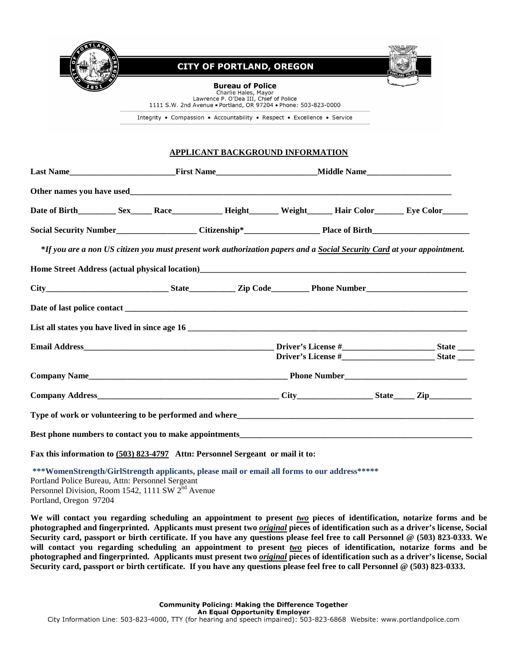

## **CITY OF PORTLAND, OREGON**



**Bureau of Police** Charlie Hales, Mayor<br>Lawrence P. O'Dea III, Chief of Police

1111 S.W. 2nd Avenue . Portland, OR 97204 . Phone: 503-823-0000

Integrity • Compassion • Accountability • Respect • Excellence • Service

## **APPLICANT BACKGROUND INFORMATION**

|                                                                                                                                                                                                                                        |  |                                                                                                                         |  |  |  | Middle Name |  |  |
|----------------------------------------------------------------------------------------------------------------------------------------------------------------------------------------------------------------------------------------|--|-------------------------------------------------------------------------------------------------------------------------|--|--|--|-------------|--|--|
|                                                                                                                                                                                                                                        |  |                                                                                                                         |  |  |  |             |  |  |
|                                                                                                                                                                                                                                        |  |                                                                                                                         |  |  |  |             |  |  |
|                                                                                                                                                                                                                                        |  |                                                                                                                         |  |  |  |             |  |  |
|                                                                                                                                                                                                                                        |  | *If you are a non US citizen you must present work authorization papers and a Social Security Card at your appointment. |  |  |  |             |  |  |
| Home Street Address (actual physical location)<br><u>Looper Looper Looper Looper Looper Looper Looper Looper Looper Looper Looper Looper Looper Looper Looper Looper Looper Looper Looper Looper Looper Looper Looper Looper Loope</u> |  |                                                                                                                         |  |  |  |             |  |  |
|                                                                                                                                                                                                                                        |  |                                                                                                                         |  |  |  |             |  |  |
|                                                                                                                                                                                                                                        |  |                                                                                                                         |  |  |  |             |  |  |
|                                                                                                                                                                                                                                        |  |                                                                                                                         |  |  |  |             |  |  |
|                                                                                                                                                                                                                                        |  |                                                                                                                         |  |  |  |             |  |  |
|                                                                                                                                                                                                                                        |  |                                                                                                                         |  |  |  |             |  |  |
|                                                                                                                                                                                                                                        |  |                                                                                                                         |  |  |  |             |  |  |
|                                                                                                                                                                                                                                        |  |                                                                                                                         |  |  |  |             |  |  |
|                                                                                                                                                                                                                                        |  |                                                                                                                         |  |  |  |             |  |  |
|                                                                                                                                                                                                                                        |  |                                                                                                                         |  |  |  |             |  |  |
| Fax this information to (503) 823-4797 Attn: Personnel Sergeant or mail it to:                                                                                                                                                         |  |                                                                                                                         |  |  |  |             |  |  |
|                                                                                                                                                                                                                                        |  |                                                                                                                         |  |  |  |             |  |  |

**\*\*\*WomenStrength/GirlStrength applicants, please mail or email all forms to our address\*\*\*\*\***  Portland Police Bureau, Attn: Personnel Sergeant Personnel Division, Room 1542, 1111 SW  $2<sup>nd</sup>$  Avenue Portland, Oregon 97204

**We will contact you regarding scheduling an appointment to present** *two* **pieces of identification, notarize forms and be photographed and fingerprinted. Applicants must present two** *original* **pieces of identification such as a driver's license, Social Security card, passport or birth certificate. If you have any questions please feel free to call Personnel @ (503) 823-0333. We will contact you regarding scheduling an appointment to present** *two* **pieces of identification, notarize forms and be photographed and fingerprinted. Applicants must present two** *original* **pieces of identification such as a driver's license, Social Security card, passport or birth certificate. If you have any questions please feel free to call Personnel @ (503) 823-0333.**

> **Community Policing: Making the Difference Together** An Equal Opportunity Employer

City Information Line: 503-823-4000, TTY (for hearing and speech impaired): 503-823-6868 Website: www.portlandpolice.com